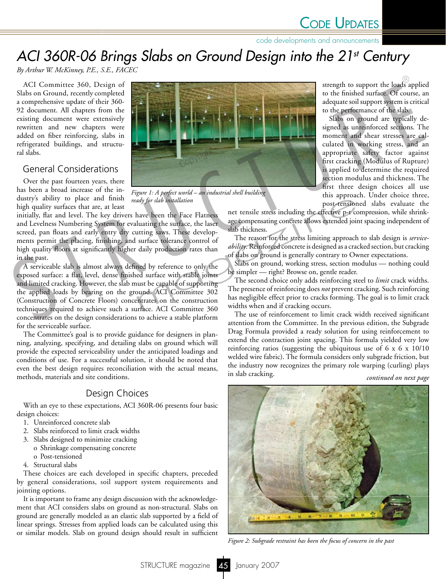code developments and announcements

# *ACI 360R-06 Brings Slabs on Ground Design into the 21st Century*

*By Arthur W. McKinney, P.E., S.E., FACEC* 

ACI Committee 360, Design of Slabs on Ground, recently completed a comprehensive update of their 360- 92 document. All chapters from the existing document were extensively rewritten and new chapters were added on fiber reinforcing, slabs in refrigerated buildings, and structural slabs.

# General Considerations

Over the past fourteen years, there has been a broad increase of the industry's ability to place and finish high quality surfaces that are, at least

initially, flat and level. The key drivers have been the Face Flatness and Levelness Numbering System for evaluating the surface, the laser screed, pan floats and early entry dry cutting saws. These developments permit the placing, finishing, and surface tolerance control of high quality floors at significantly higher daily production rates than in the past.

A serviceable slab is almost always defined by reference to only the exposed surface: a flat, level, dense finished surface with stable joints and limited cracking. However, the slab must be capable of supporting the applied loads by bearing on the ground. ACI Committee 302 (Construction of Concrete Floors) concentrates on the construction techniques required to achieve such a surface. ACI Committee 360 concentrates on the design considerations to achieve a stable platform for the serviceable surface.

The Committee's goal is to provide guidance for designers in planning, analyzing, specifying, and detailing slabs on ground which will provide the expected serviceability under the anticipated loadings and conditions of use. For a successful solution, it should be noted that even the best design requires reconciliation with the actual means, methods, materials and site conditions.

# Design Choices

With an eye to these expectations, ACI 360R-06 presents four basic design choices:

- 1. Unreinforced concrete slab
- 2. Slabs reinforced to limit crack widths
- 3. Slabs designed to minimize cracking o Shrinkage compensating concrete o Post-tensioned
- 4. Structural slabs

These choices are each developed in specific chapters, preceded by general considerations, soil support system requirements and jointing options.

It is important to frame any design discussion with the acknowledgement that ACI considers slabs on ground as non-structural. Slabs on ground are generally modeled as an elastic slab supported by a field of linear springs. Stresses from applied loads can be calculated using this or similar models. Slab on ground design should result in sufficient



*Figure 1: A perfect world – an industrial shell building ready for slab installation*

strength to support the loads applied to the finished surface. Of course, an adequate soil support system is critical to the performance of the slab.

Slabs on ground are typically designed as unreinforced sections. The moment and shear stresses are calculated in working stress, and an appropriate safety factor against first cracking (Modulus of Rupture) is applied to determine the required section modulus and thickness. The first three design choices all use this approach. Under choice three, post-tensioned slabs evaluate the

net tensile stress including the effective p-t compression, while shrinkage compensating concrete allows extended joint spacing independent of slab thickness.

The reason for the stress limiting approach to slab design is *serviceability*. Reinforced concrete is designed as a cracked section, but cracking of slabs on ground is generally contrary to Owner expectations.

Slabs on ground, working stress, section modulus — nothing could be simpler — right? Browse on, gentle reader.

The second choice only adds reinforcing steel to *limit* crack widths. The presence of reinforcing does *not* prevent cracking. Such reinforcing has negligible effect prior to cracks forming. The goal is to limit crack widths when and if cracking occurs. ady for slab installation<br>
have been the Face Flatness<br>
net tensile stress including the effective p-t coluating the surface, the laser<br>
age compensating concrete allows extended join<br>
slab thickness.<br>
surface tolerance co

The use of reinforcement to limit crack width received significant attention from the Committee. In the previous edition, the Subgrade Drag Formula provided a ready solution for using reinforcement to extend the contraction joint spacing. This formula yielded very low reinforcing ratios (suggesting the ubiquitous use of 6 x 6 x 10/10 welded wire fabric). The formula considers only subgrade friction, but the industry now recognizes the primary role warping (curling) plays in slab cracking.

*continued on next page*



*Figure 2: Subgrade restraint has been the focus of concern in the past*